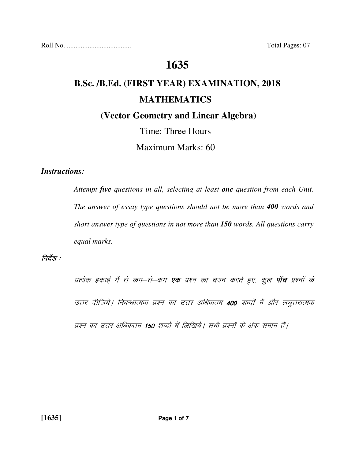Roll No. ..................................... Total Pages: 07

## **1635**

# **B.Sc. /B.Ed. (FIRST YEAR) EXAMINATION, 2018 MATHEMATICS**

 **(Vector Geometry and Linear Algebra)** 

# Time: Three Hours

Maximum Marks: 60

## *Instructions:*

 *Attempt five questions in all, selecting at least one question from each Unit. The answer of essay type questions should not be more than 400 words and short answer type of questions in not more than 150 words. All questions carry equal marks.* 

## निर्देश : $\,$

प्रत्येक इकाई में से कम–से–कम **एक** प्रश्न का चयन करते हुए, कुल **पाँच** प्रश्नों के उत्तर दीजिये। निबन्धात्मक प्रश्न का उत्तर अधिकतम 400 शब्दों में और लघुत्तरात्मक प्रश्न का उत्तर अधिकतम 150 शब्दों में लिखिये। सभी प्रश्नों के अंक समान हैं।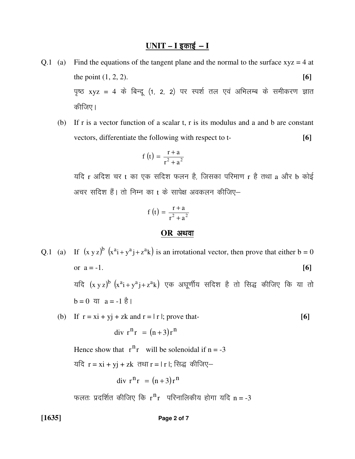## $UNIT - I$  इकाई - I

- Q.1 (a) Find the equations of the tangent plane and the normal to the surface  $xyz = 4$  at the point  $(1, 2, 2)$ . पृष्ठ xyz = 4 के बिन्दू (1, 2, 2) पर स्पर्श तल एवं अभिलम्ब के समीकरण ज्ञात कीजिए।
	- (b) If r is a vector function of a scalar t, r is its modulus and a and b are constant vectors, differentiate the following with respect to t- **[6]**

$$
f(t) = \frac{r+a}{r^2 + a^2}
$$

यदि  $r$  अदिश चर  $t$  का एक सदिश फलन है, जिसका परिमाण  $r$  है तथा  $a$  और  $b$  कोई अचर सदिश हैं। तो निम्न का t के सापेक्ष अवकलन कीजिए–

$$
f(t) = \frac{r+a}{r^2 + a^2}
$$

#### **OR** अथवा

Q.1 (a) If  $(x y z)^{b} (x^{a}i + y^{a}j + z^{a}k)$  is an irrotational vector, then prove that either  $b = 0$ or  $a = -1$ .  $[6]$ यदि  $(\mathrm{x} \mathrm{~y} \mathrm{~z})^{\mathrm{b}}$   $(\mathrm{x}^{\mathrm{a}} \mathrm{i} + \mathrm{y}^{\mathrm{a}} \mathrm{j} + \mathrm{z}^{\mathrm{a}} \mathrm{k})$  एक अघूर्णीय सदिश है तो सिद्ध कीजिए कि या तो  $b = 0$  या  $a = -1$  है।

(b) If  $r = xi + yj + zk$  and  $r = |r|$ ; prove that- [6] div  $r^n r = (n+3)r^n$ 

Hence show that  $r^n r$  will be solenoidal if  $n = -3$ 

यदि  $r = xi + yj + zk$  तथा  $r = |r|$ ; सिद्ध कीजिए-

$$
div r^n r = (n+3)r^n
$$

फलतः प्रदर्शित कीजिए कि  ${\rm r^{\,n}}_{\rm r}$  परिनालिकीय होगा यदि  ${\rm n}$ = -3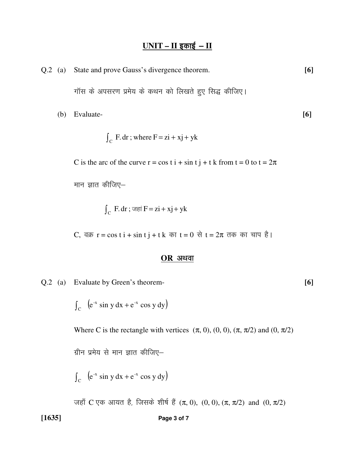## <u>UNIT – II इकाई – II</u>

|     | Q.2 (a) State and prove Gauss's divergence theorem.  |     |
|-----|------------------------------------------------------|-----|
|     | गॉस के अपसरण प्रमेय के कथन को लिखते हुए सिद्ध कीजिए। |     |
| (b) | Evaluate-                                            | [6] |

$$
\int_C F dr ; where F = zi + xj + yk
$$

C is the arc of the curve  $r = \cos t i + \sin t j + t k$  from  $t = 0$  to  $t = 2\pi$ 

मान ज्ञात कीजिए–

 $\int_{\rm C}$  F.dr ; जहां F = zi + xj + yk

C, वक्र  $r = \cos t i + \sin t j + t k$  का  $t = 0$  से  $t = 2\pi$  तक का चाप है।

#### $OR$  अथवा

Q.2 (a) Evaluate by Green's theorem- **[6]**

 $\int_C$   $(e^{-x} \sin y dx + e^{-x} \cos y dy)$  $\int e^{-x} \sin y \, dx + e^{-x} \cos y \, dy$ 

Where C is the rectangle with vertices  $(\pi, 0)$ ,  $(0, 0)$ ,  $(\pi, \pi/2)$  and  $(0, \pi/2)$ 

ग्रीन प्रमेय से मान ज्ञात कीजिए $-$ 

 $\int_C$   $(e^{-x} \sin y dx + e^{-x} \cos y dy)$  $\int e^{-x} \sin y \, dx + e^{-x} \cos y \, dy$ 

जहाँ C एक आयत है, जिसके शीर्ष हैं  $(π, 0)$ ,  $(0, 0)$ ,  $(π, π/2)$  and  $(0, π/2)$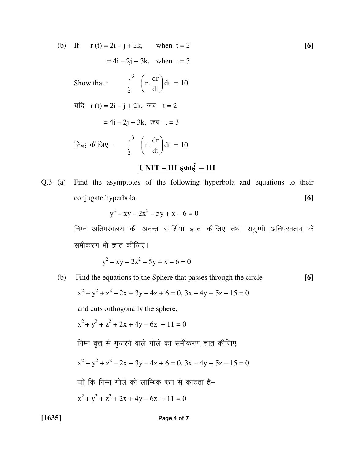(b) If  $r(t) = 2i - j + 2k$ , when  $t = 2$  [6]  $= 4i - 2j + 3k$ , when  $t = 3$ Show that :  $\int \frac{du}{dx}$  dt = 10 dt dr  $\vert$  r. 3 2  $\int dt =$ J  $\backslash$  $\mathbf{r}$  $\setminus$  $\int_0^3$ यदि  $r(t) = 2i - j + 2k$ , जब  $t = 2$  $= 4i - 2j + 3k$ , जब  $t = 3$ सिद्ध कीजिए—  $\int$   $\frac{du}{dt} = 10$ dt dr  $\vert$  r. 3 2  $\int dt =$ J  $\backslash$  $\mathbf{r}$  $\setminus$  $\int_0^3$ 

## <u>UNIT – III इकाई – III</u>

Q.3 (a) Find the asymptotes of the following hyperbola and equations to their conjugate hyperbola. **[6]**

$$
y^2 - xy - 2x^2 - 5y + x - 6 = 0
$$

निम्न अतिपरवलय की अनन्त स्पर्शिया ज्ञात कीजिए तथा संयुग्मी अतिपरवलय के समीकरण भी ज्ञात कीजिए।

$$
y^2 - xy - 2x^2 - 5y + x - 6 = 0
$$

(b) Find the equations to the Sphere that passes through the circle **[6]** 

$$
x^{2} + y^{2} + z^{2} - 2x + 3y - 4z + 6 = 0, 3x - 4y + 5z - 15 = 0
$$

and cuts orthogonally the sphere,

$$
x^2 + y^2 + z^2 + 2x + 4y - 6z + 11 = 0
$$

निम्न वृत्त से गुजरने वाले गोले का समीकरण ज्ञात कीजिए:

$$
x^{2} + y^{2} + z^{2} - 2x + 3y - 4z + 6 = 0, 3x - 4y + 5z - 15 = 0
$$

जो कि निम्न गोले को लाम्बिक रूप से काटता है–

$$
x^2 + y^2 + z^2 + 2x + 4y - 6z + 11 = 0
$$

**[1635] Page 4 of 7**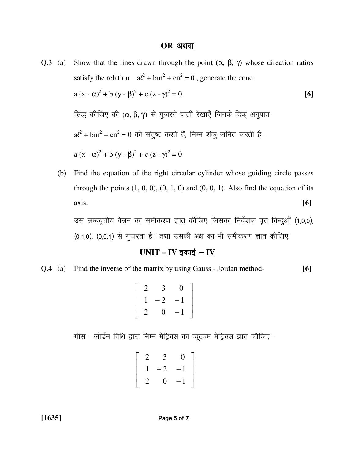#### $OR$  अथवा

Q.3 (a) Show that the lines drawn through the point (α, β, γ) whose direction ratios satisfy the relation  $a^2 + bm^2 + cn^2 = 0$ , generate the cone a (x -  $\alpha$ )<sup>2</sup> + b (y -  $\beta$ )<sup>2</sup> + c (z -  $\gamma$ )<sup>2</sup>  $= 0$  [6]  $\theta$  सिद्ध कीजिए की (α, β, γ) से गुजरने वाली रेखाएँ जिनके दिक अनुपात  $a\ell^2 + b m^2 + c n^2 = 0$  को संतुष्ट करते हैं, निम्न शंकु जनित करती है a  $(x - \alpha)^2 + b (y - \beta)^2 + c (z - \gamma)^2 = 0$ 

 (b) Find the equation of the right circular cylinder whose guiding circle passes through the points  $(1, 0, 0)$ ,  $(0, 1, 0)$  and  $(0, 0, 1)$ . Also find the equation of its axis. **[6]** 

उस लम्बवृत्तीय बेलन का समीकरण ज्ञात कीजिए जिसका निर्देशक वृत्त बिन्दुओं (1,0,0), (0,1,0), (0,0,1) से गुजरता है। तथा उसकी अक्ष का भी समीकरण ज्ञात कीजिए।

## $UNIT - IV$  इकाई – IV

Q.4 (a) Find the inverse of the matrix by using Gauss - Jordan method- **[6]**

$$
\left[\begin{array}{rrr} 2 & 3 & 0 \\ 1 & -2 & -1 \\ 2 & 0 & -1 \end{array}\right]
$$

गॉस –जोर्डन विधि द्वारा निम्न मेट्रिक्स का व्यूत्क्रम मेट्रिक्स ज्ञात कीजिए–

$$
\left[\begin{array}{rrr} 2 & 3 & 0 \\ 1 & -2 & -1 \\ 2 & 0 & -1 \end{array}\right]
$$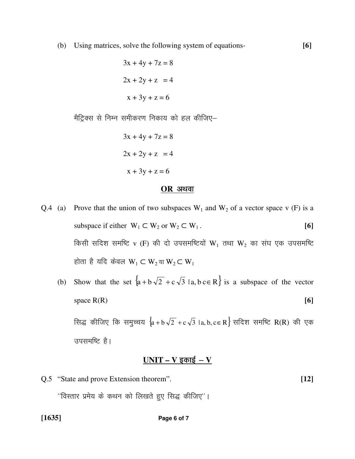(b) Using matrices, solve the following system of equations- **[6]**

```
3x + 4y + 7z = 82x + 2y + z = 4x + 3y + z = 6
```
मैट्रिक्स से निम्न समीकरण निकाय को हल कीजिए–

 $3x + 4y + 7z = 8$  $2x + 2y + z = 4$  $x + 3y + z = 6$ 

#### **OR** अथवा

- Q.4 (a) Prove that the union of two subspaces  $W_1$  and  $W_2$  of a vector space v (F) is a subspace if either  $W_1 \subset W_2$  or  $W_2 \subset W_1$ . **[6]** किसी सदिश समष्टि v (F) की दो उपसमष्टियों  $W_1$  तथा  $W_2$  का संघ एक उपसमष्टि होता है यदि केवल  $W_1 \subset W_2$ या  $W_2 \subset W_1$ 
	- (b) Show that the set  $\{a + b\sqrt{2} + c\sqrt{3} \mid a, b \in R\}$  is a subspace of the vector space  $R(R)$  [6]

रिमद्ध कीजिए कि समुच्चय  $\{a + b \sqrt{2} + c \sqrt{3} \mid a, b, c \in R\}$  सदिश समष्टि R(R) की एक उपसमष्टि है।

### <u>UNIT – V इकाई – V</u>

Q.5 "State and prove Extension theorem". **[12]**  $^{\prime\prime}$ विस्तार प्रमेय के कथन को लिखते हुए सिद्ध कीजिए $^{\prime\prime}$ ।